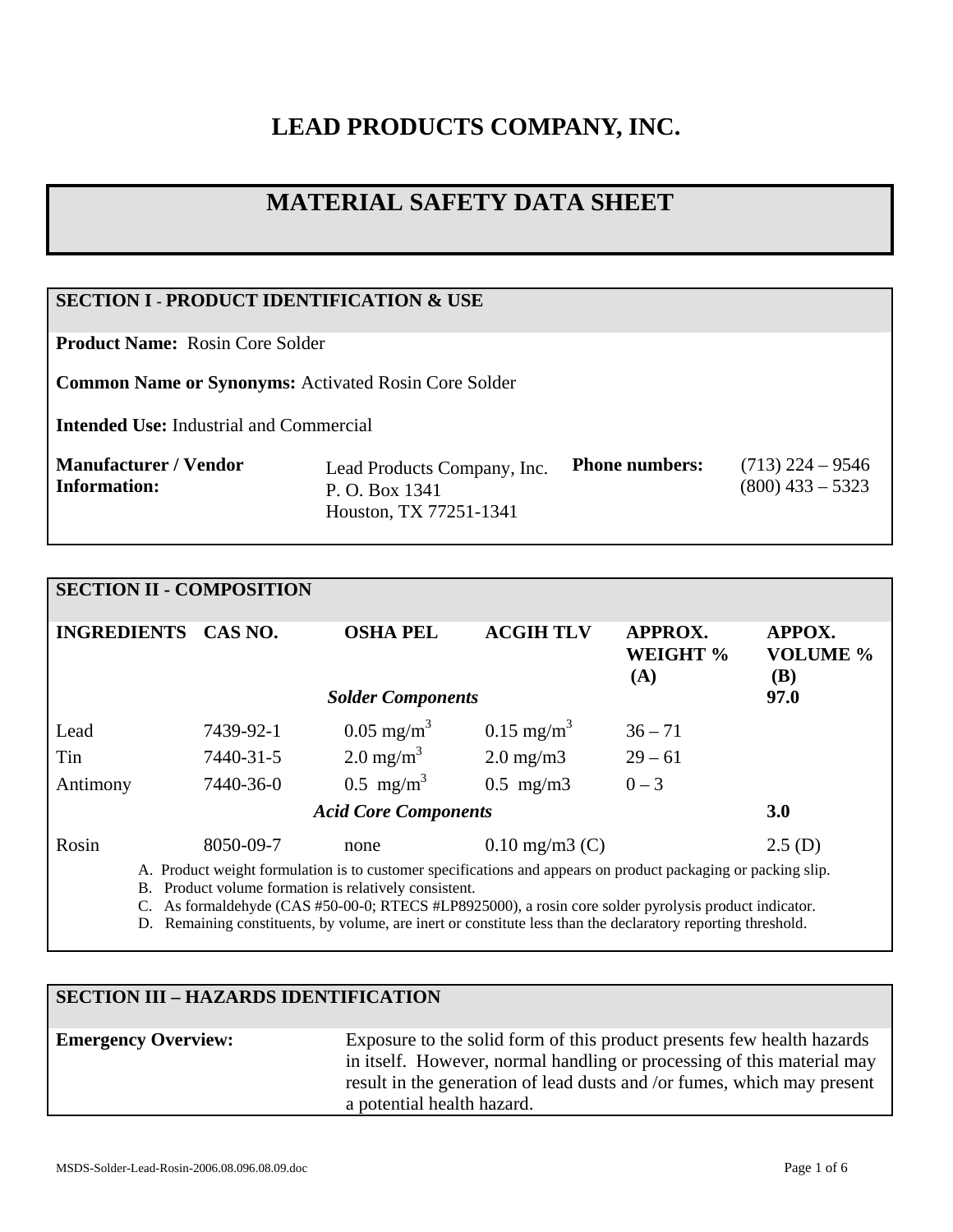# **LEAD PRODUCTS COMPANY, INC.**

# **MATERIAL SAFETY DATA SHEET**

## **SECTION I - PRODUCT IDENTIFICATION & USE**

**Product Name:** Rosin Core Solder

**Common Name or Synonyms:** Activated Rosin Core Solder

**Intended Use:** Industrial and Commercial

| Manufacturer / Vendor<br><b>Phone numbers:</b><br>Lead Products Company, Inc.<br>$(800)$ 433 – 5323<br>Information:<br>P. O. Box 1341<br>Houston, TX 77251-1341 | $(713)$ 224 – 9546 |
|-----------------------------------------------------------------------------------------------------------------------------------------------------------------|--------------------|
|-----------------------------------------------------------------------------------------------------------------------------------------------------------------|--------------------|

## **SECTION II - COMPOSITION INGREDIENTS CAS NO. OSHA PEL ACGIH TLV APPROX. WEIGHT % (A) APPOX. VOLUME % (B)**  *Solder Components* **97.0**  Lead  $7439-92-1$   $0.05 \text{ mg/m}^3$   $0.15 \text{ mg/m}^3$   $36-71$ Tin  $7440-31-5$  2.0 mg/m<sup>3</sup> 2.0 mg/m3 29 – 61 Antimony 7440-36-0  $0.5 \text{ mg/m}^3$   $0.5 \text{ mg/m}^3$   $0-3$ *Acid Core Components* **3.0**  Rosin 8050-09-7 none 0.10 mg/m3 (C) 2.5 (D)

A. Product weight formulation is to customer specifications and appears on product packaging or packing slip.

B. Product volume formation is relatively consistent.

C. As formaldehyde (CAS #50-00-0; RTECS #LP8925000), a rosin core solder pyrolysis product indicator.

D. Remaining constituents, by volume, are inert or constitute less than the declaratory reporting threshold.

# **SECTION III – HAZARDS IDENTIFICATION**

## **Emergency Overview:** Exposure to the solid form of this product presents few health hazards in itself. However, normal handling or processing of this material may result in the generation of lead dusts and /or fumes, which may present a potential health hazard.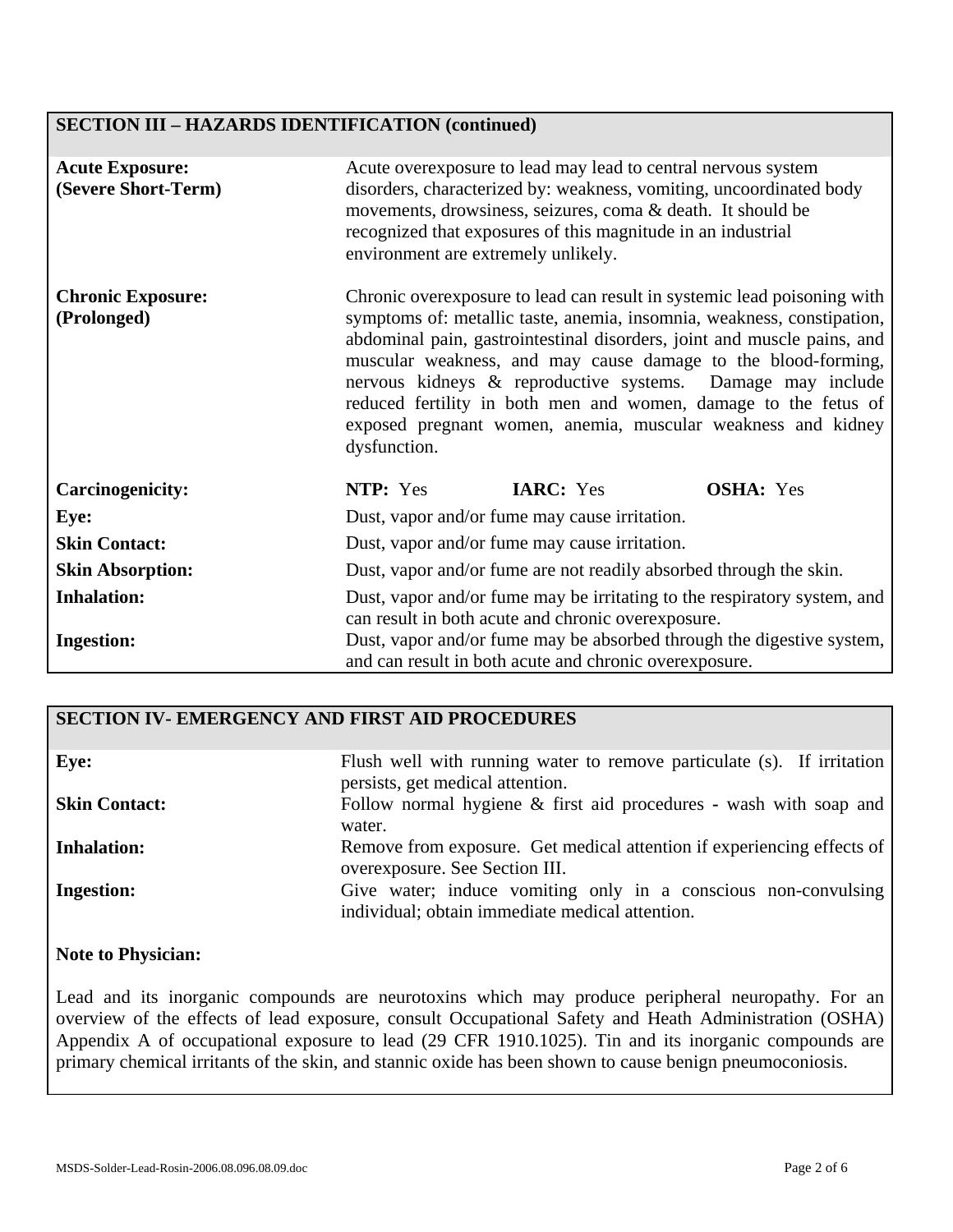# **SECTION III – HAZARDS IDENTIFICATION (continued)**

| <b>Acute Exposure:</b><br>(Severe Short-Term) | Acute overexposure to lead may lead to central nervous system<br>disorders, characterized by: weakness, vomiting, uncoordinated body<br>movements, drowsiness, seizures, coma & death. It should be<br>recognized that exposures of this magnitude in an industrial<br>environment are extremely unlikely.                                                                                                                                                                                                     |  |  |
|-----------------------------------------------|----------------------------------------------------------------------------------------------------------------------------------------------------------------------------------------------------------------------------------------------------------------------------------------------------------------------------------------------------------------------------------------------------------------------------------------------------------------------------------------------------------------|--|--|
| <b>Chronic Exposure:</b><br>(Prolonged)       | Chronic overexposure to lead can result in systemic lead poisoning with<br>symptoms of: metallic taste, anemia, insomnia, weakness, constipation,<br>abdominal pain, gastrointestinal disorders, joint and muscle pains, and<br>muscular weakness, and may cause damage to the blood-forming,<br>nervous kidneys & reproductive systems. Damage may include<br>reduced fertility in both men and women, damage to the fetus of<br>exposed pregnant women, anemia, muscular weakness and kidney<br>dysfunction. |  |  |
| <b>Carcinogenicity:</b>                       | NTP: Yes<br><b>IARC:</b> Yes<br><b>OSHA:</b> Yes                                                                                                                                                                                                                                                                                                                                                                                                                                                               |  |  |
| Eye:                                          | Dust, vapor and/or fume may cause irritation.                                                                                                                                                                                                                                                                                                                                                                                                                                                                  |  |  |
| <b>Skin Contact:</b>                          | Dust, vapor and/or fume may cause irritation.                                                                                                                                                                                                                                                                                                                                                                                                                                                                  |  |  |
| <b>Skin Absorption:</b>                       | Dust, vapor and/or fume are not readily absorbed through the skin.                                                                                                                                                                                                                                                                                                                                                                                                                                             |  |  |
| <b>Inhalation:</b><br><b>Ingestion:</b>       | Dust, vapor and/or fume may be irritating to the respiratory system, and<br>can result in both acute and chronic overexposure.<br>Dust, vapor and/or fume may be absorbed through the digestive system,                                                                                                                                                                                                                                                                                                        |  |  |
|                                               | and can result in both acute and chronic overexposure.                                                                                                                                                                                                                                                                                                                                                                                                                                                         |  |  |

#### **SECTION IV- EMERGENCY AND FIRST AID PROCEDURES**

| Eye:                 | Flush well with running water to remove particulate (s). If irritation<br>persists, get medical attention.        |
|----------------------|-------------------------------------------------------------------------------------------------------------------|
| <b>Skin Contact:</b> | Follow normal hygiene $\&$ first aid procedures - wash with soap and<br>water.                                    |
| <b>Inhalation:</b>   | Remove from exposure. Get medical attention if experiencing effects of<br>overexposure. See Section III.          |
| <b>Ingestion:</b>    | Give water; induce vomiting only in a conscious non-convulsing<br>individual; obtain immediate medical attention. |

## **Note to Physician:**

Lead and its inorganic compounds are neurotoxins which may produce peripheral neuropathy. For an overview of the effects of lead exposure, consult Occupational Safety and Heath Administration (OSHA) Appendix A of occupational exposure to lead (29 CFR 1910.1025). Tin and its inorganic compounds are primary chemical irritants of the skin, and stannic oxide has been shown to cause benign pneumoconiosis.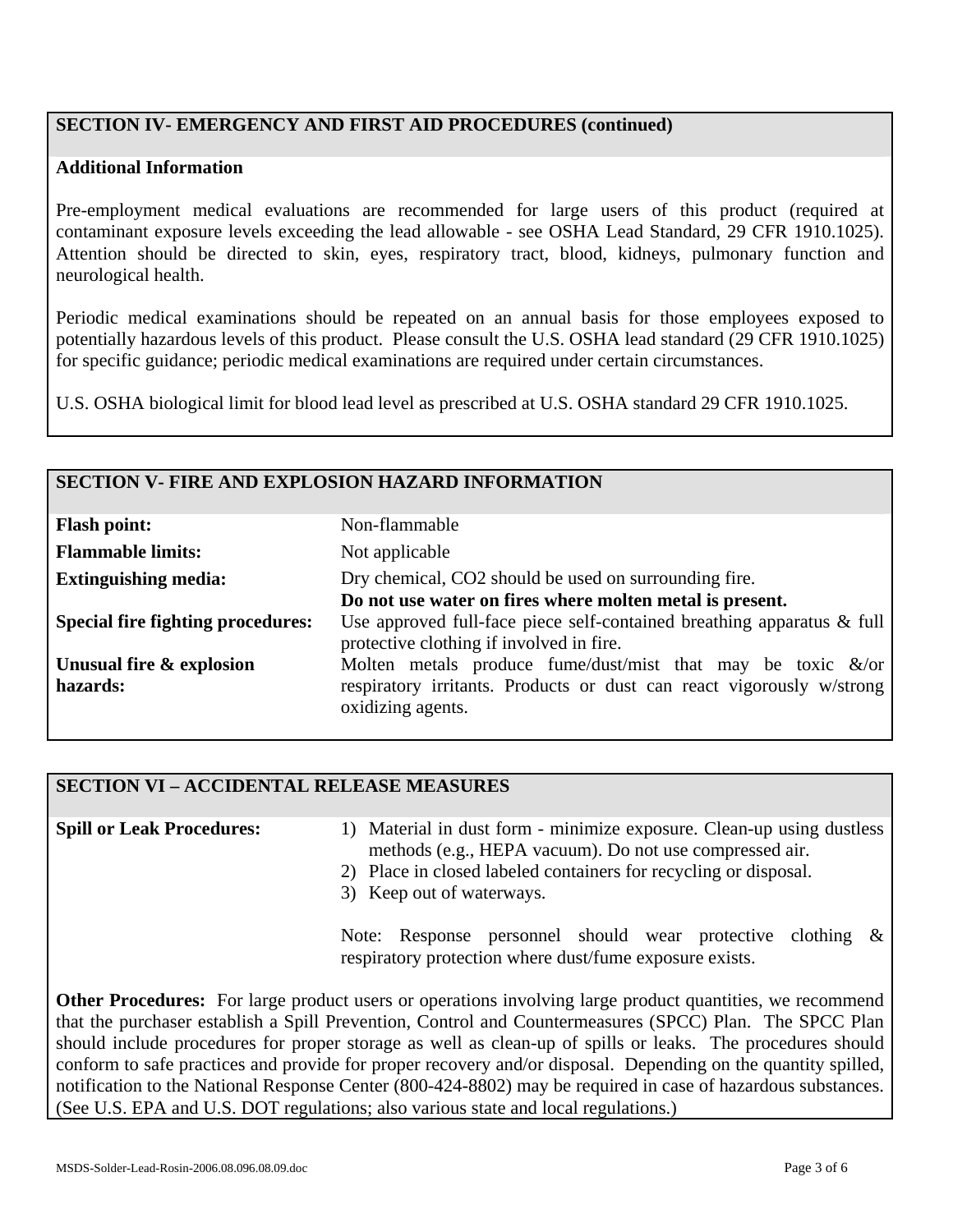## **SECTION IV- EMERGENCY AND FIRST AID PROCEDURES (continued)**

#### **Additional Information**

Pre-employment medical evaluations are recommended for large users of this product (required at contaminant exposure levels exceeding the lead allowable - see OSHA Lead Standard, 29 CFR 1910.1025). Attention should be directed to skin, eyes, respiratory tract, blood, kidneys, pulmonary function and neurological health.

Periodic medical examinations should be repeated on an annual basis for those employees exposed to potentially hazardous levels of this product. Please consult the U.S. OSHA lead standard (29 CFR 1910.1025) for specific guidance; periodic medical examinations are required under certain circumstances.

U.S. OSHA biological limit for blood lead level as prescribed at U.S. OSHA standard 29 CFR 1910.1025.

#### **SECTION V- FIRE AND EXPLOSION HAZARD INFORMATION**

| <b>Flash point:</b>                      | Non-flammable                                                                                                         |
|------------------------------------------|-----------------------------------------------------------------------------------------------------------------------|
| <b>Flammable limits:</b>                 | Not applicable                                                                                                        |
| <b>Extinguishing media:</b>              | Dry chemical, CO2 should be used on surrounding fire.                                                                 |
|                                          | Do not use water on fires where molten metal is present.                                                              |
| <b>Special fire fighting procedures:</b> | Use approved full-face piece self-contained breathing apparatus $\&$ full<br>protective clothing if involved in fire. |
| Unusual fire & explosion                 | Molten metals produce fume/dust/mist that may be toxic $\&$ /or                                                       |
| hazards:                                 | respiratory irritants. Products or dust can react vigorously w/strong<br>oxidizing agents.                            |

#### **SECTION VI – ACCIDENTAL RELEASE MEASURES**

**Spill or Leak Procedures:**

- 1) Material in dust form minimize exposure. Clean-up using dustless methods (e.g., HEPA vacuum). Do not use compressed air.
- 2) Place in closed labeled containers for recycling or disposal.
- 3) Keep out of waterways.

Note: Response personnel should wear protective clothing & respiratory protection where dust/fume exposure exists.

**Other Procedures:** For large product users or operations involving large product quantities, we recommend that the purchaser establish a Spill Prevention, Control and Countermeasures (SPCC) Plan. The SPCC Plan should include procedures for proper storage as well as clean-up of spills or leaks. The procedures should conform to safe practices and provide for proper recovery and/or disposal. Depending on the quantity spilled, notification to the National Response Center (800-424-8802) may be required in case of hazardous substances. (See U.S. EPA and U.S. DOT regulations; also various state and local regulations.)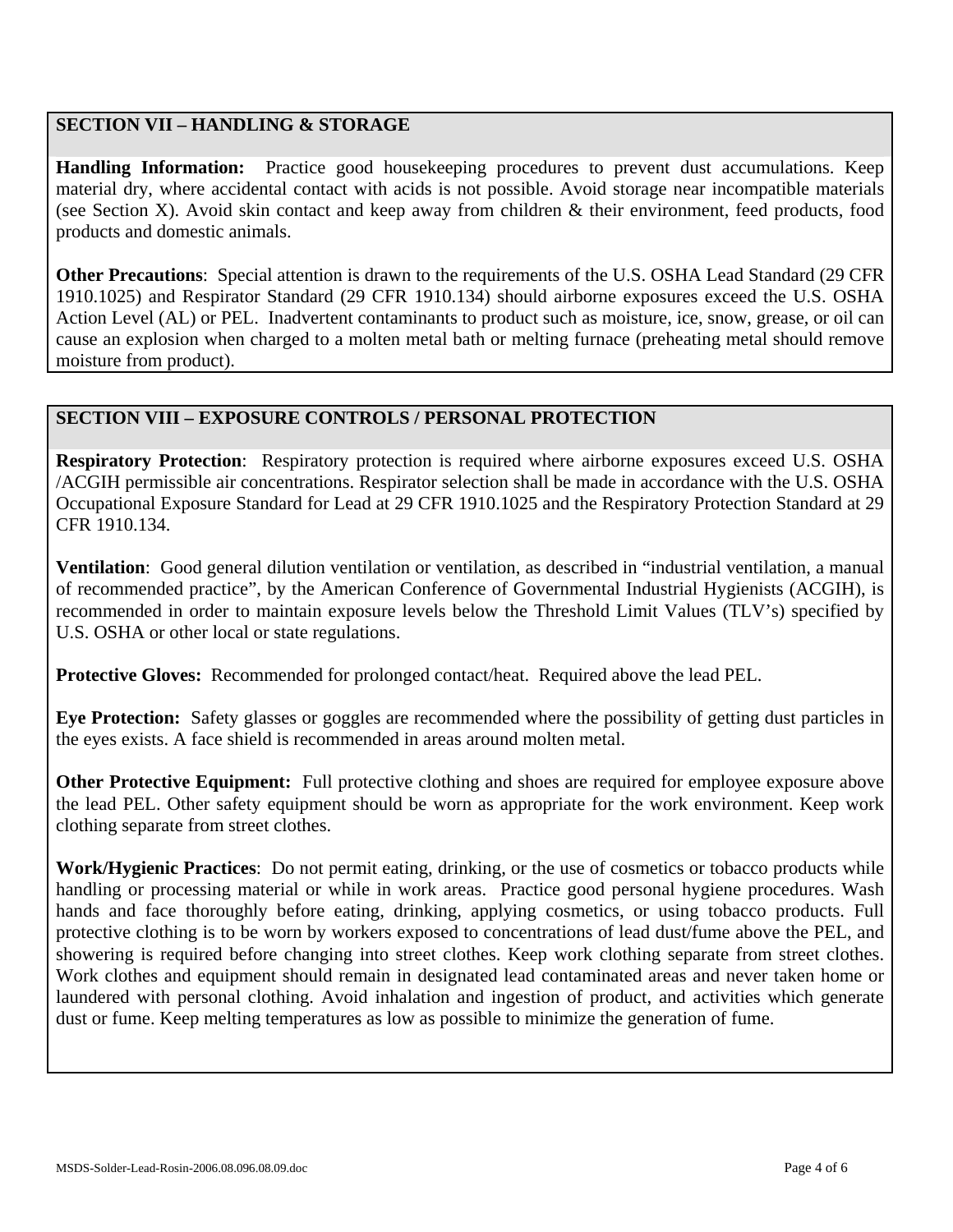## **SECTION VII – HANDLING & STORAGE**

**Handling Information:** Practice good housekeeping procedures to prevent dust accumulations. Keep material dry, where accidental contact with acids is not possible. Avoid storage near incompatible materials (see Section X). Avoid skin contact and keep away from children & their environment, feed products, food products and domestic animals.

**Other Precautions**: Special attention is drawn to the requirements of the U.S. OSHA Lead Standard (29 CFR 1910.1025) and Respirator Standard (29 CFR 1910.134) should airborne exposures exceed the U.S. OSHA Action Level (AL) or PEL. Inadvertent contaminants to product such as moisture, ice, snow, grease, or oil can cause an explosion when charged to a molten metal bath or melting furnace (preheating metal should remove moisture from product).

## **SECTION VIII – EXPOSURE CONTROLS / PERSONAL PROTECTION**

**Respiratory Protection**: Respiratory protection is required where airborne exposures exceed U.S. OSHA /ACGIH permissible air concentrations. Respirator selection shall be made in accordance with the U.S. OSHA Occupational Exposure Standard for Lead at 29 CFR 1910.1025 and the Respiratory Protection Standard at 29 CFR 1910.134.

**Ventilation**: Good general dilution ventilation or ventilation, as described in "industrial ventilation, a manual of recommended practice", by the American Conference of Governmental Industrial Hygienists (ACGIH), is recommended in order to maintain exposure levels below the Threshold Limit Values (TLV's) specified by U.S. OSHA or other local or state regulations.

**Protective Gloves:** Recommended for prolonged contact/heat. Required above the lead PEL.

**Eye Protection:** Safety glasses or goggles are recommended where the possibility of getting dust particles in the eyes exists. A face shield is recommended in areas around molten metal.

**Other Protective Equipment:** Full protective clothing and shoes are required for employee exposure above the lead PEL. Other safety equipment should be worn as appropriate for the work environment. Keep work clothing separate from street clothes.

**Work/Hygienic Practices**: Do not permit eating, drinking, or the use of cosmetics or tobacco products while handling or processing material or while in work areas. Practice good personal hygiene procedures. Wash hands and face thoroughly before eating, drinking, applying cosmetics, or using tobacco products. Full protective clothing is to be worn by workers exposed to concentrations of lead dust/fume above the PEL, and showering is required before changing into street clothes. Keep work clothing separate from street clothes. Work clothes and equipment should remain in designated lead contaminated areas and never taken home or laundered with personal clothing. Avoid inhalation and ingestion of product, and activities which generate dust or fume. Keep melting temperatures as low as possible to minimize the generation of fume.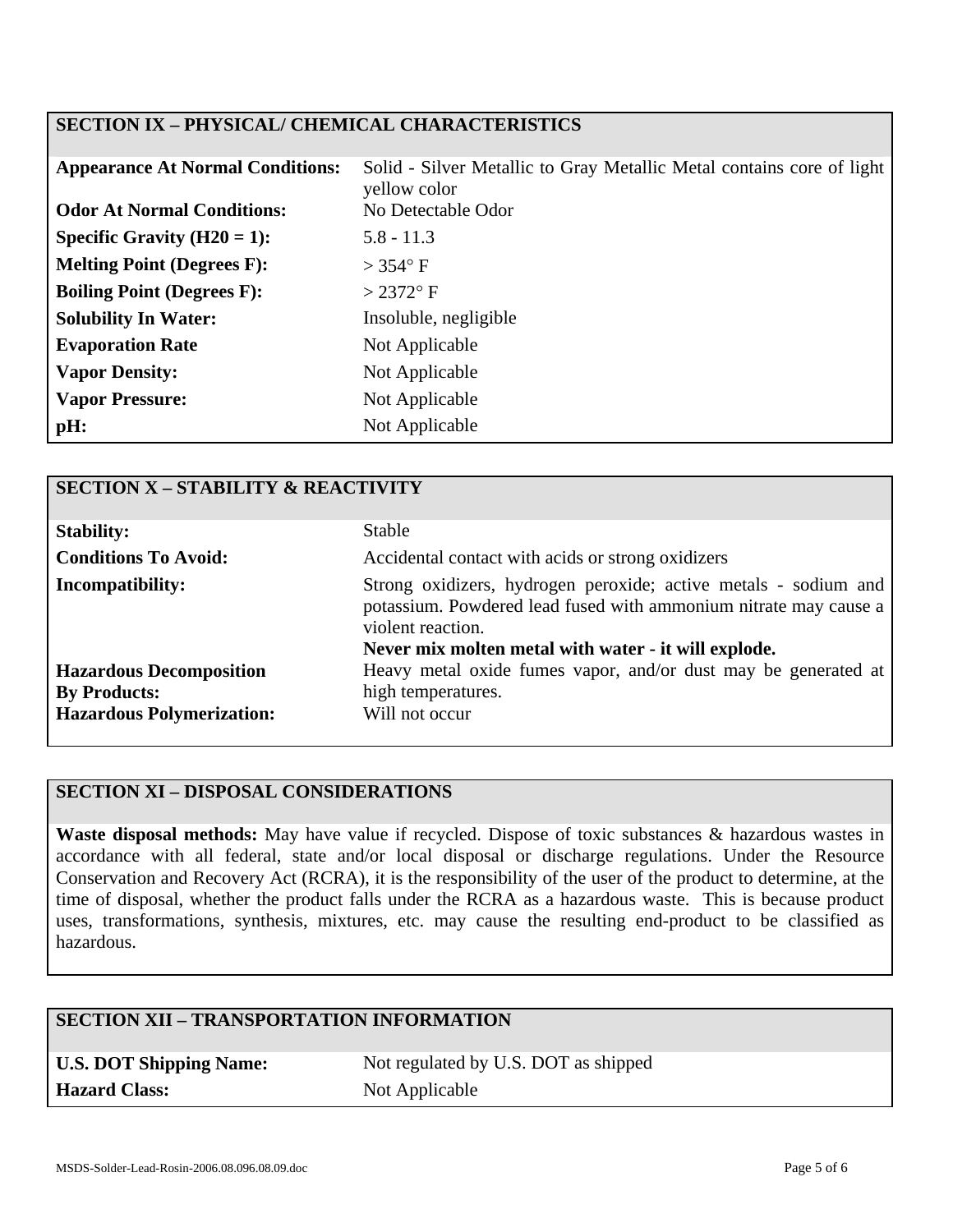## **SECTION IX – PHYSICAL/ CHEMICAL CHARACTERISTICS**

| <b>Appearance At Normal Conditions:</b> | Solid - Silver Metallic to Gray Metallic Metal contains core of light<br>yellow color |
|-----------------------------------------|---------------------------------------------------------------------------------------|
| <b>Odor At Normal Conditions:</b>       | No Detectable Odor                                                                    |
| Specific Gravity $(H20 = 1)$ :          | $5.8 - 11.3$                                                                          |
| <b>Melting Point (Degrees F):</b>       | $>$ 354 $\degree$ F                                                                   |
| <b>Boiling Point (Degrees F):</b>       | $>2372$ °F                                                                            |
| <b>Solubility In Water:</b>             | Insoluble, negligible                                                                 |
| <b>Evaporation Rate</b>                 | Not Applicable                                                                        |
| <b>Vapor Density:</b>                   | Not Applicable                                                                        |
| <b>Vapor Pressure:</b>                  | Not Applicable                                                                        |
| pH:                                     | Not Applicable                                                                        |

| <b>SECTION X - STABILITY &amp; REACTIVITY</b> |                                                                                                                                                                                                                  |
|-----------------------------------------------|------------------------------------------------------------------------------------------------------------------------------------------------------------------------------------------------------------------|
| <b>Stability:</b>                             | <b>Stable</b>                                                                                                                                                                                                    |
| <b>Conditions To Avoid:</b>                   | Accidental contact with acids or strong oxidizers                                                                                                                                                                |
| <b>Incompatibility:</b>                       | Strong oxidizers, hydrogen peroxide; active metals - sodium and<br>potassium. Powdered lead fused with ammonium nitrate may cause a<br>violent reaction.<br>Never mix molten metal with water - it will explode. |
| <b>Hazardous Decomposition</b>                | Heavy metal oxide fumes vapor, and/or dust may be generated at                                                                                                                                                   |
| <b>By Products:</b>                           | high temperatures.                                                                                                                                                                                               |
| <b>Hazardous Polymerization:</b>              | Will not occur                                                                                                                                                                                                   |

# **SECTION XI – DISPOSAL CONSIDERATIONS**

**Waste disposal methods:** May have value if recycled. Dispose of toxic substances & hazardous wastes in accordance with all federal, state and/or local disposal or discharge regulations. Under the Resource Conservation and Recovery Act (RCRA), it is the responsibility of the user of the product to determine, at the time of disposal, whether the product falls under the RCRA as a hazardous waste. This is because product uses, transformations, synthesis, mixtures, etc. may cause the resulting end-product to be classified as hazardous.

## **SECTION XII – TRANSPORTATION INFORMATION**

| <b>U.S. DOT Shipping Name:</b> |
|--------------------------------|
| <b>Hazard Class:</b>           |

Not regulated by U.S. DOT as shipped **Not Applicable**